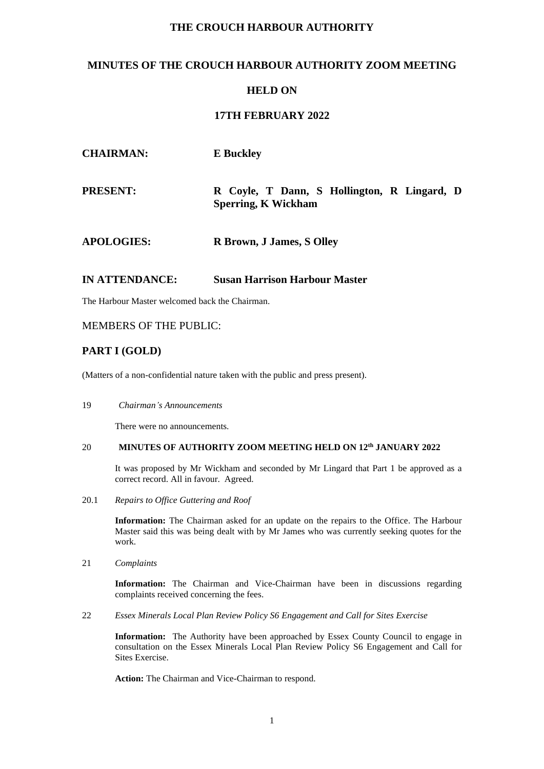## **THE CROUCH HARBOUR AUTHORITY**

## **MINUTES OF THE CROUCH HARBOUR AUTHORITY ZOOM MEETING**

### **HELD ON**

### **17TH FEBRUARY 2022**

| <b>CHAIRMAN:</b>  | <b>E</b> Buckley                                                          |
|-------------------|---------------------------------------------------------------------------|
| <b>PRESENT:</b>   | R Coyle, T Dann, S Hollington, R Lingard, D<br><b>Sperring, K Wickham</b> |
| <b>APOLOGIES:</b> | R Brown, J James, S Olley                                                 |

### **IN ATTENDANCE: Susan Harrison Harbour Master**

The Harbour Master welcomed back the Chairman.

### MEMBERS OF THE PUBLIC:

### **PART I (GOLD)**

(Matters of a non-confidential nature taken with the public and press present).

19 *Chairman's Announcements*

There were no announcements.

#### 20 **MINUTES OF AUTHORITY ZOOM MEETING HELD ON 12 th JANUARY 2022**

It was proposed by Mr Wickham and seconded by Mr Lingard that Part 1 be approved as a correct record. All in favour. Agreed.

20.1 *Repairs to Office Guttering and Roof*

**Information:** The Chairman asked for an update on the repairs to the Office. The Harbour Master said this was being dealt with by Mr James who was currently seeking quotes for the work.

21 *Complaints*

**Information:** The Chairman and Vice-Chairman have been in discussions regarding complaints received concerning the fees.

22 *Essex Minerals Local Plan Review Policy S6 Engagement and Call for Sites Exercise*

**Information:** The Authority have been approached by Essex County Council to engage in consultation on the Essex Minerals Local Plan Review Policy S6 Engagement and Call for Sites Exercise.

**Action:** The Chairman and Vice-Chairman to respond.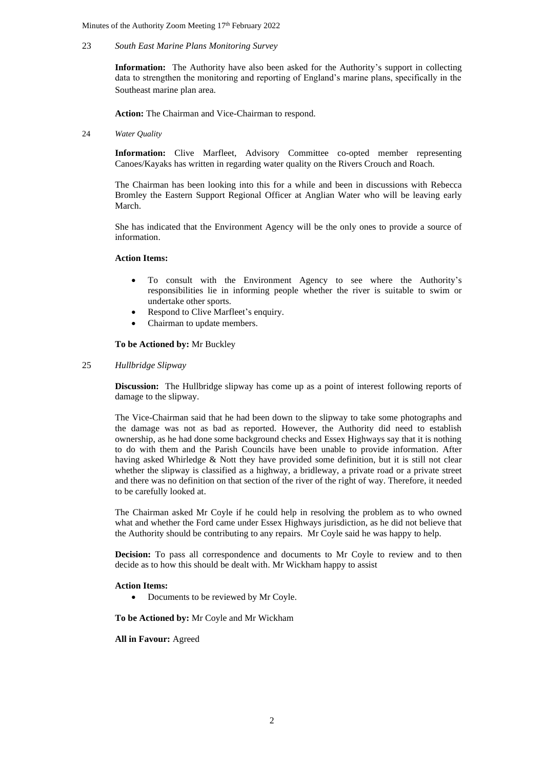Minutes of the Authority Zoom Meeting 17<sup>th</sup> February 2022

#### 23 *South East Marine Plans Monitoring Survey*

**Information:** The Authority have also been asked for the Authority's support in collecting data to strengthen the monitoring and reporting of England's marine plans, specifically in the Southeast marine plan area.

**Action:** The Chairman and Vice-Chairman to respond.

24 *Water Quality*

**Information:** Clive Marfleet, Advisory Committee co-opted member representing Canoes/Kayaks has written in regarding water quality on the Rivers Crouch and Roach.

The Chairman has been looking into this for a while and been in discussions with Rebecca Bromley the Eastern Support Regional Officer at Anglian Water who will be leaving early March.

She has indicated that the Environment Agency will be the only ones to provide a source of information.

#### **Action Items:**

- To consult with the Environment Agency to see where the Authority's responsibilities lie in informing people whether the river is suitable to swim or undertake other sports.
- Respond to Clive Marfleet's enquiry.
- Chairman to update members.

**To be Actioned by:** Mr Buckley

#### 25 *Hullbridge Slipway*

**Discussion:** The Hullbridge slipway has come up as a point of interest following reports of damage to the slipway.

The Vice-Chairman said that he had been down to the slipway to take some photographs and the damage was not as bad as reported. However, the Authority did need to establish ownership, as he had done some background checks and Essex Highways say that it is nothing to do with them and the Parish Councils have been unable to provide information. After having asked Whirledge & Nott they have provided some definition, but it is still not clear whether the slipway is classified as a highway, a bridleway, a private road or a private street and there was no definition on that section of the river of the right of way. Therefore, it needed to be carefully looked at.

The Chairman asked Mr Coyle if he could help in resolving the problem as to who owned what and whether the Ford came under Essex Highways jurisdiction, as he did not believe that the Authority should be contributing to any repairs. Mr Coyle said he was happy to help.

**Decision:** To pass all correspondence and documents to Mr Coyle to review and to then decide as to how this should be dealt with. Mr Wickham happy to assist

#### **Action Items:**

• Documents to be reviewed by Mr Coyle.

**To be Actioned by:** Mr Coyle and Mr Wickham

**All in Favour:** Agreed